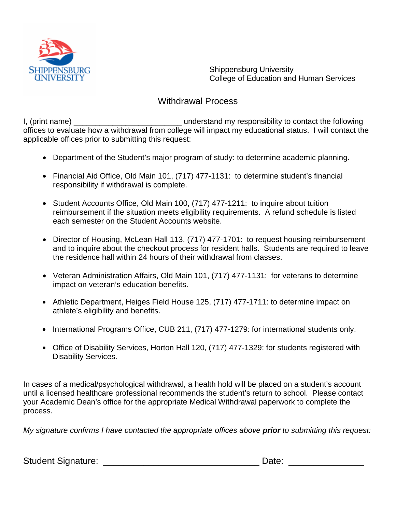

Shippensburg University College of Education and Human Services

## Withdrawal Process

I, (print name) \_\_\_\_\_\_\_\_\_\_\_\_\_\_\_\_\_\_\_\_\_\_\_\_\_ understand my responsibility to contact the following offices to evaluate how a withdrawal from college will impact my educational status. I will contact the applicable offices prior to submitting this request:

- Department of the Student's major program of study: to determine academic planning.
- Financial Aid Office, Old Main 101, (717) 477-1131: to determine student's financial responsibility if withdrawal is complete.
- Student Accounts Office, Old Main 100, (717) 477-1211: to inquire about tuition reimbursement if the situation meets eligibility requirements. A refund schedule is listed each semester on the Student Accounts website.
- Director of Housing, McLean Hall 113, (717) 477-1701: to request housing reimbursement and to inquire about the checkout process for resident halls. Students are required to leave the residence hall within 24 hours of their withdrawal from classes.
- Veteran Administration Affairs, Old Main 101, (717) 477-1131: for veterans to determine impact on veteran's education benefits.
- Athletic Department, Heiges Field House 125, (717) 477-1711: to determine impact on athlete's eligibility and benefits.
- International Programs Office, CUB 211, (717) 477-1279: for international students only.
- Office of Disability Services, Horton Hall 120, (717) 477-1329: for students registered with Disability Services.

In cases of a medical/psychological withdrawal, a health hold will be placed on a student's account until a licensed healthcare professional recommends the student's return to school. Please contact your Academic Dean's office for the appropriate Medical Withdrawal paperwork to complete the process.

*My signature confirms I have contacted the appropriate offices above prior to submitting this request:*

Student Signature: \_\_\_\_\_\_\_\_\_\_\_\_\_\_\_\_\_\_\_\_\_\_\_\_\_\_\_\_\_\_\_ Date: \_\_\_\_\_\_\_\_\_\_\_\_\_\_\_